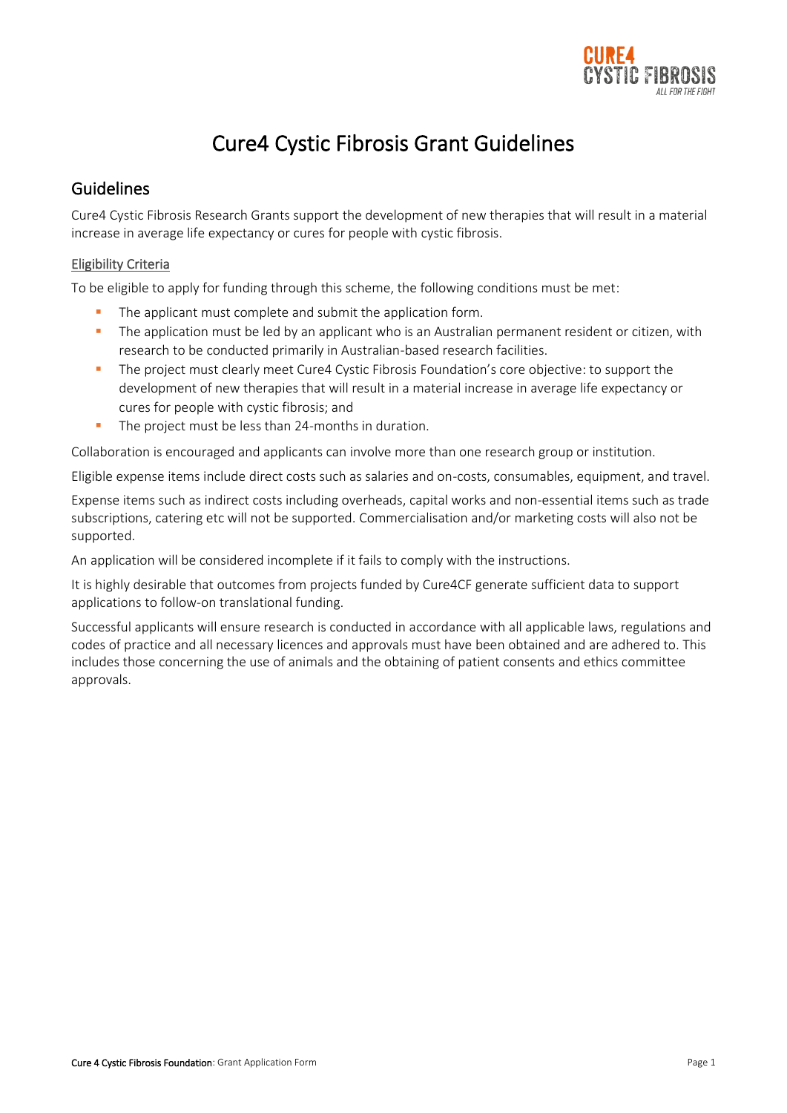

# Cure4 Cystic Fibrosis Grant Guidelines

## Guidelines

Cure4 Cystic Fibrosis Research Grants support the development of new therapies that will result in a material increase in average life expectancy or cures for people with cystic fibrosis.

### Eligibility Criteria

To be eligible to apply for funding through this scheme, the following conditions must be met:

- The applicant must complete and submit the application form.
- **•** The application must be led by an applicant who is an Australian permanent resident or citizen, with research to be conducted primarily in Australian-based research facilities.
- **·** The project must clearly meet Cure4 Cystic Fibrosis Foundation's core objective: to support the development of new therapies that will result in a material increase in average life expectancy or cures for people with cystic fibrosis; and
- The project must be less than 24-months in duration.

Collaboration is encouraged and applicants can involve more than one research group or institution.

Eligible expense items include direct costs such as salaries and on-costs, consumables, equipment, and travel.

Expense items such as indirect costs including overheads, capital works and non-essential items such as trade subscriptions, catering etc will not be supported. Commercialisation and/or marketing costs will also not be supported.

An application will be considered incomplete if it fails to comply with the instructions.

It is highly desirable that outcomes from projects funded by Cure4CF generate sufficient data to support applications to follow-on translational funding.

Successful applicants will ensure research is conducted in accordance with all applicable laws, regulations and codes of practice and all necessary licences and approvals must have been obtained and are adhered to. This includes those concerning the use of animals and the obtaining of patient consents and ethics committee approvals.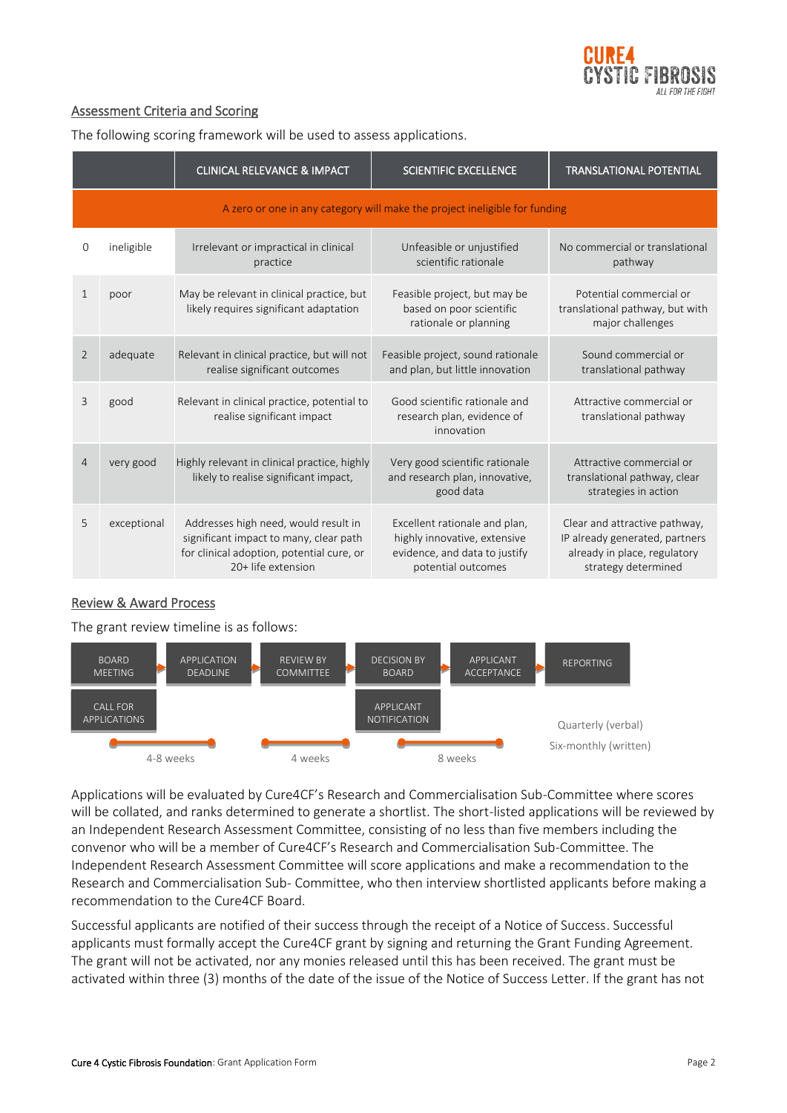

## Assessment Criteria and Scoring

The following scoring framework will be used to assess applications.

|                                                                            |             | <b>CLINICAL RELEVANCE &amp; IMPACT</b>                                                                                                            | <b>SCIENTIFIC EXCELLENCE</b>                                                                                         | <b>TRANSLATIONAL POTENTIAL</b>                                                                                         |
|----------------------------------------------------------------------------|-------------|---------------------------------------------------------------------------------------------------------------------------------------------------|----------------------------------------------------------------------------------------------------------------------|------------------------------------------------------------------------------------------------------------------------|
| A zero or one in any category will make the project ineligible for funding |             |                                                                                                                                                   |                                                                                                                      |                                                                                                                        |
| 0                                                                          | ineligible  | Irrelevant or impractical in clinical<br>practice                                                                                                 | Unfeasible or unjustified<br>scientific rationale                                                                    | No commercial or translational<br>pathway                                                                              |
| $\mathbf{1}$                                                               | poor        | May be relevant in clinical practice, but<br>likely requires significant adaptation                                                               | Feasible project, but may be<br>based on poor scientific<br>rationale or planning                                    | Potential commercial or<br>translational pathway, but with<br>major challenges                                         |
| 2                                                                          | adequate    | Relevant in clinical practice, but will not<br>realise significant outcomes                                                                       | Feasible project, sound rationale<br>and plan, but little innovation                                                 | Sound commercial or<br>translational pathway                                                                           |
| 3                                                                          | good        | Relevant in clinical practice, potential to<br>realise significant impact                                                                         | Good scientific rationale and<br>research plan, evidence of<br>innovation                                            | Attractive commercial or<br>translational pathway                                                                      |
| $\overline{4}$                                                             | very good   | Highly relevant in clinical practice, highly<br>likely to realise significant impact,                                                             | Very good scientific rationale<br>and research plan, innovative,<br>good data                                        | Attractive commercial or<br>translational pathway, clear<br>strategies in action                                       |
| 5                                                                          | exceptional | Addresses high need, would result in<br>significant impact to many, clear path<br>for clinical adoption, potential cure, or<br>20+ life extension | Excellent rationale and plan,<br>highly innovative, extensive<br>evidence, and data to justify<br>potential outcomes | Clear and attractive pathway,<br>IP already generated, partners<br>already in place, regulatory<br>strategy determined |

#### Review & Award Process

The grant review timeline is as follows:



Applications will be evaluated by Cure4CF's Research and Commercialisation Sub-Committee where scores will be collated, and ranks determined to generate a shortlist. The short-listed applications will be reviewed by an Independent Research Assessment Committee, consisting of no less than five members including the convenor who will be a member of Cure4CF's Research and Commercialisation Sub-Committee. The Independent Research Assessment Committee will score applications and make a recommendation to the Research and Commercialisation Sub- Committee, who then interview shortlisted applicants before making a recommendation to the Cure4CF Board.

Successful applicants are notified of their success through the receipt of a Notice of Success. Successful applicants must formally accept the Cure4CF grant by signing and returning the Grant Funding Agreement. The grant will not be activated, nor any monies released until this has been received. The grant must be activated within three (3) months of the date of the issue of the Notice of Success Letter. If the grant has not